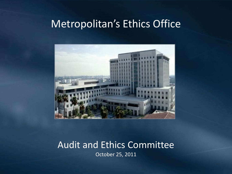### Metropolitan's Ethics Office



## Audit and Ethics Committee

October 25, 2011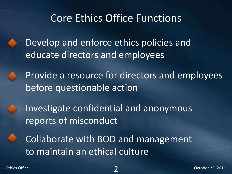## Core Ethics Office Functions

Develop and enforce ethics policies and educate directors and employees

Provide a resource for directors and employees before questionable action

Investigate confidential and anonymous reports of misconduct

Collaborate with BOD and management to maintain an ethical culture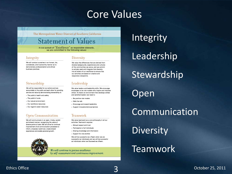### Core Values

The Metropolitan Water District of Southern California

#### **Statement of Values**

In our pursuit of  $"Executeline"$  as responsible stewards, we are committed to the following values:

#### Integrity

We will conduct ourselves in an honest, fair, considerate, and trustworthy manner as to demonstrate professionalism and ethical business practices.

#### Stewardship

We will be responsible for our actions and are accountable to the public and each other for providing service and value by demonstrating stewardship of:

- The public's health and safety
- · The public's funds
- · Our natural environment
- · Our workforce resources
- · Our region's water resources

#### Open Communication

We will communicate in an open, timely, candid and shared manner, recognizing the value of diverse points of view. We will strive for continual improvement of all communication processes to inform, empower, build trust, create shared experiences and enable personal growth.



#### Diversitv

We value the differences that are derived from diverse backgrounds, experiences and cultures of the communities we serve, and we commit to actively seek and integrate that diversity into all levels of our workforce to ensure that our activities are based on creative and responsive viewpoints.

#### Leadership

We value leaders and leadership skills. We encourage employees to be role models who inspire and motivate others. To foster an environment that develops skilled and satisfied leaders we need to:

- · Be positive role models
- . Walk the talk
- · Encourage and reward leadership
- · Support innovation/remove barriers

#### Teamwork

We value teamwork as a core philosophy in all our activities. Teamwork requires:

- · Mutual respect and trust
- · Participation of all individuals
- · Sharing knowledge and information
- Support for one another

We will be successful as a Team when we are successful as individuals and we will be successful as individuals when we Succeed as a Team.

We will continue to pursue excellence by self-assessment and continuous improvement.

## **Integrity**

Leadership

**Stewardship** 

### Open

Communication

**Diversity** 

### Teamwork

#### Ethics Office **October 25, 2011**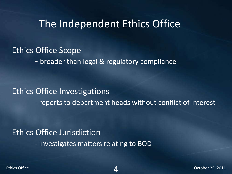### The Independent Ethics Office

### Ethics Office Scope

- broader than legal & regulatory compliance

### Ethics Office Investigations

- reports to department heads without conflict of interest

### Ethics Office Jurisdiction

- investigates matters relating to BOD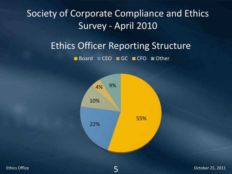### Society of Corporate Compliance and Ethics Survey - April 2010

## Ethics Officer Reporting Structure

■ Board ■ CEO ■ GC ■ CFO ■ Other



5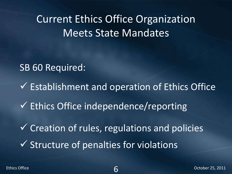Current Ethics Office Organization Meets State Mandates

SB 60 Required:

 $\checkmark$  Establishment and operation of Ethics Office  $\checkmark$  Creation of rules, regulations and policies  $\checkmark$  Ethics Office independence/reporting  $\checkmark$  Structure of penalties for violations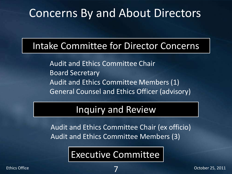## Concerns By and About Directors

### Intake Committee for Director Concerns

Audit and Ethics Committee Chair Board Secretary Audit and Ethics Committee Members (1) General Counsel and Ethics Officer (advisory)

### Inquiry and Review

Audit and Ethics Committee Chair (ex officio) Audit and Ethics Committee Members (3)

## Executive Committee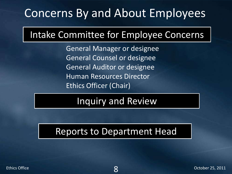## Concerns By and About Employees

## Intake Committee for Employee Concerns

General Manager or designee General Counsel or designee General Auditor or designee Human Resources Director Ethics Officer (Chair)

## Inquiry and Review

### Reports to Department Head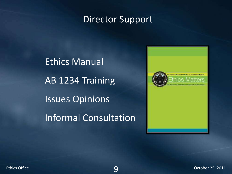### Director Support

Ethics Manual AB 1234 Training Issues Opinions Informal Consultation

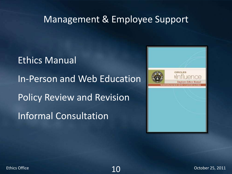### Management & Employee Support

Ethics Manual In-Person and Web Education Policy Review and Revision Informal Consultation



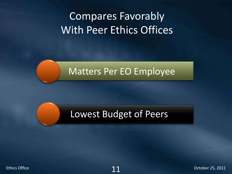## Compares Favorably With Peer Ethics Offices

### Matters Per EO Employee

### Lowest Budget of Peers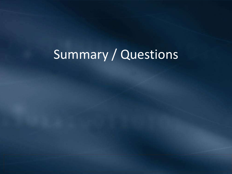# Summary / Questions